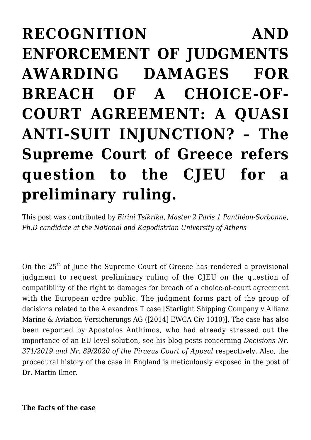## **[RECOGNITION AND](https://conflictoflaws.net/2021/recognition-and-enforcement-of-judgments-awarding-damages-for-breach-of-a-choice-of-court-agreement-a-quasi-anti-suit-injunction/) [ENFORCEMENT OF JUDGMENTS](https://conflictoflaws.net/2021/recognition-and-enforcement-of-judgments-awarding-damages-for-breach-of-a-choice-of-court-agreement-a-quasi-anti-suit-injunction/) [AWARDING DAMAGES FOR](https://conflictoflaws.net/2021/recognition-and-enforcement-of-judgments-awarding-damages-for-breach-of-a-choice-of-court-agreement-a-quasi-anti-suit-injunction/) [BREACH OF A CHOICE-OF-](https://conflictoflaws.net/2021/recognition-and-enforcement-of-judgments-awarding-damages-for-breach-of-a-choice-of-court-agreement-a-quasi-anti-suit-injunction/)[COURT AGREEMENT: A QUASI](https://conflictoflaws.net/2021/recognition-and-enforcement-of-judgments-awarding-damages-for-breach-of-a-choice-of-court-agreement-a-quasi-anti-suit-injunction/) [ANTI-SUIT INJUNCTION? – The](https://conflictoflaws.net/2021/recognition-and-enforcement-of-judgments-awarding-damages-for-breach-of-a-choice-of-court-agreement-a-quasi-anti-suit-injunction/) [Supreme Court of Greece refers](https://conflictoflaws.net/2021/recognition-and-enforcement-of-judgments-awarding-damages-for-breach-of-a-choice-of-court-agreement-a-quasi-anti-suit-injunction/) [question to the CJEU for a](https://conflictoflaws.net/2021/recognition-and-enforcement-of-judgments-awarding-damages-for-breach-of-a-choice-of-court-agreement-a-quasi-anti-suit-injunction/) [preliminary ruling.](https://conflictoflaws.net/2021/recognition-and-enforcement-of-judgments-awarding-damages-for-breach-of-a-choice-of-court-agreement-a-quasi-anti-suit-injunction/)**

This post was contributed by *Eirini Tsikrika, Master 2 Paris 1 Panthéon-Sorbonne, Ph.D candidate at the National and Kapodistrian University of Athens* 

On the  $25<sup>th</sup>$  of June the Supreme Court of Greece has rendered a provisional judgment to request preliminary ruling of the CJEU on the question of compatibility of the right to damages for breach of a choice-of-court agreement with the European ordre public. The judgment forms part of the group of decisions related to the Alexandros T case [\[Starlight Shipping Company v Allianz](http://www.bailii.org/ew/cases/EWCA/Civ/2014/1010.html) [Marine & Aviation Versicherungs AG \(\[2014\] EWCA Civ 1010\)\].](http://www.bailii.org/ew/cases/EWCA/Civ/2014/1010.html) The case has also been reported by Apostolos Anthimos, who had already stressed out the importance of an EU level solution, see his blog posts concerning *Decisions [Nr.](https://conflictoflaws.net/2019/awaken-the-guardian-uk-damages-for-breach-of-a-choice-of-court-agreement-violate-greek-public-policy/) [371/2019](https://conflictoflaws.net/2019/awaken-the-guardian-uk-damages-for-breach-of-a-choice-of-court-agreement-violate-greek-public-policy/) and [Nr. 89/2020](https://conflictoflaws.net/2020/from-anti-suit-injunctions-to-quasi-anti-suit-injunctions-and-declaratory-relief-for-breach-of-a-choice-of-court-agreement-a-whiter-shade-of-pale/) of the Piraeus Court of Appeal* respectively*.* Also, the procedural history of the case in England is meticulously exposed [in the post](https://conflictoflaws.net/2014/english-court-of-appeal-confirms-damages-award-for-breach-of-a-jurisdiction-agreement/) of Dr. Martin Ilmer.

**The facts of the case**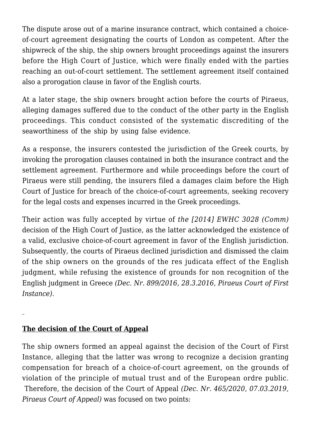The dispute arose out of a marine insurance contract, which contained a choiceof-court agreement designating the courts of London as competent. After the shipwreck of the ship, the ship owners brought proceedings against the insurers before the High Court of Justice, which were finally ended with the parties reaching an out-of-court settlement. The settlement agreement itself contained also a prorogation clause in favor of the English courts.

At a later stage, the ship owners brought action before the courts of Piraeus, alleging damages suffered due to the conduct of the other party in the English proceedings. This conduct consisted of the systematic discrediting of the seaworthiness of the ship by using false evidence.

As a response, the insurers contested the jurisdiction of the Greek courts, by invoking the prorogation clauses contained in both the insurance contract and the settlement agreement. Furthermore and while proceedings before the court of Piraeus were still pending, the insurers filed a damages claim before the High Court of Justice for breach of the choice-of-court agreements, seeking recovery for the legal costs and expenses incurred in the Greek proceedings.

Their action was fully accepted by virtue of *the [2014] EWHC 3028 (Comm)* decision of the High Court of Justice, as the latter acknowledged the existence of a valid, exclusive choice-of-court agreement in favor of the English jurisdiction. Subsequently, the courts of Piraeus declined jurisdiction and dismissed the claim of the ship owners on the grounds of the res judicata effect of the English judgment, while refusing the existence of grounds for non recognition of the English judgment in Greece *(Dec. Nr. 899/2016, 28.3.2016, Piraeus Court of First Instance).*

## **The decision of the Court of Appeal**

The ship owners formed an appeal against the decision of the Court of First Instance, alleging that the latter was wrong to recognize a decision granting compensation for breach of a choice-of-court agreement, on the grounds of violation of the principle of mutual trust and of the European ordre public. Therefore, the decision of the Court of Appeal *(Dec. Nr. 465/2020, 07.03.2019, Piraeus Court of Appeal)* was focused on two points: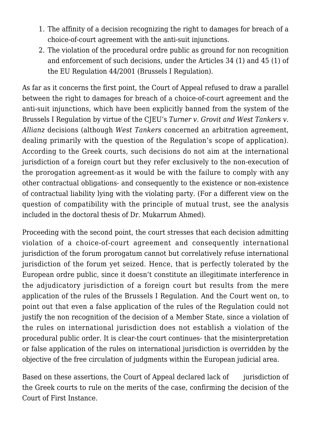- 1. The affinity of a decision recognizing the right to damages for breach of a choice-of-court agreement with the anti-suit injunctions.
- 2. The violation of the procedural ordre public as ground for non recognition and enforcement of such decisions, under the Articles 34 (1) and 45 (1) of the EU Regulation 44/2001 (Brussels I Regulation).

As far as it concerns the first point, the Court of Appeal refused to draw a parallel between the right to damages for breach of a choice-of-court agreement and the anti-suit injunctions, which have been explicitly banned from the system of the Brussels I Regulation by virtue of the CJEU's *Turner v. Grovit and West Tankers v. Allianz* decisions (although *West Tankers* concerned an arbitration agreement, dealing primarily with the question of the Regulation's scope of application). According to the Greek courts, such decisions do not aim at the international jurisdiction of a foreign court but they refer exclusively to the non-execution of the prorogation agreement-as it would be with the failure to comply with any other contractual obligations- and consequently to the existence or non-existence of contractual liability lying with the violating party. (For a different view on the question of compatibility with the principle of mutual trust, see the analysis included in the doctoral thesis of Dr. [Mukarrum Ahmed](https://www.bloomsburyprofessional.com/uk/the-nature-and-enforcement-of-choice-of-court-agreements-9781509914494/)).

Proceeding with the second point, the court stresses that each decision admitting violation of a choice-of-court agreement and consequently international jurisdiction of the forum prorogatum cannot but correlatively refuse international jurisdiction of the forum yet seized. Hence, that is perfectly tolerated by the European ordre public, since it doesn't constitute an illegitimate interference in the adjudicatory jurisdiction of a foreign court but results from the mere application of the rules of the Brussels I Regulation. And the Court went on, to point out that even a false application of the rules of the Regulation could not justify the non recognition of the decision of a Member State, since a violation of the rules on international jurisdiction does not establish a violation of the procedural public order. It is clear-the court continues- that the misinterpretation or false application of the rules on international jurisdiction is overridden by the objective of the free circulation of judgments within the European judicial area.

Based on these assertions, the Court of Appeal declared lack of jurisdiction of the Greek courts to rule on the merits of the case, confirming the decision of the Court of First Instance.